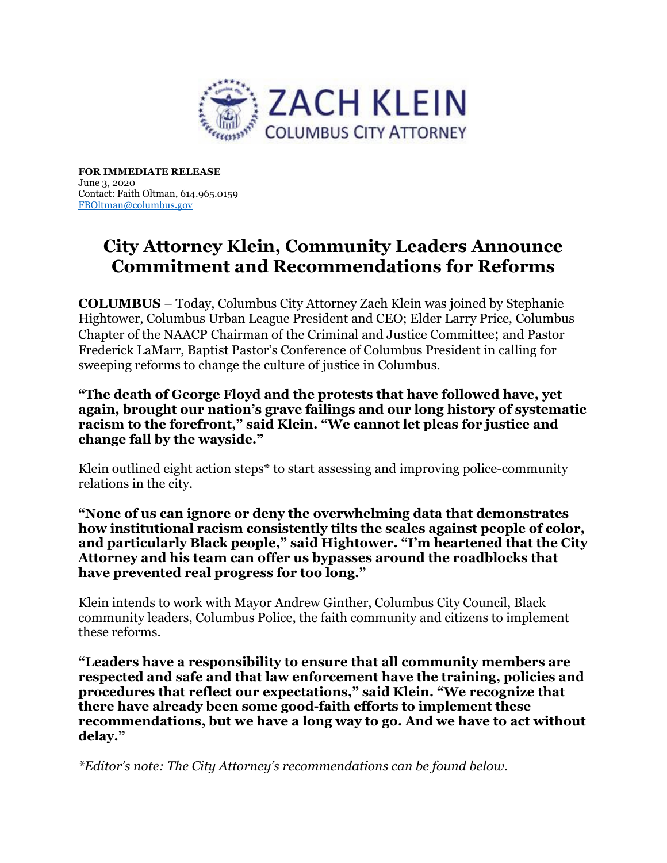

FOR IMMEDIATE RELEASE June 3, 2020 Contact: Faith Oltman, 614.965.0159 FBOltman@columbus.gov

## City Attorney Klein, Community Leaders Announce Commitment and Recommendations for Reforms

COLUMBUS – Today, Columbus City Attorney Zach Klein was joined by Stephanie Hightower, Columbus Urban League President and CEO; Elder Larry Price, Columbus Chapter of the NAACP Chairman of the Criminal and Justice Committee; and Pastor Frederick LaMarr, Baptist Pastor's Conference of Columbus President in calling for sweeping reforms to change the culture of justice in Columbus.

"The death of George Floyd and the protests that have followed have, yet again, brought our nation's grave failings and our long history of systematic racism to the forefront," said Klein. "We cannot let pleas for justice and change fall by the wayside."

Klein outlined eight action steps\* to start assessing and improving police-community relations in the city.

"None of us can ignore or deny the overwhelming data that demonstrates how institutional racism consistently tilts the scales against people of color, and particularly Black people," said Hightower. "I'm heartened that the City Attorney and his team can offer us bypasses around the roadblocks that have prevented real progress for too long."

Klein intends to work with Mayor Andrew Ginther, Columbus City Council, Black community leaders, Columbus Police, the faith community and citizens to implement these reforms.

"Leaders have a responsibility to ensure that all community members are respected and safe and that law enforcement have the training, policies and procedures that reflect our expectations," said Klein. "We recognize that there have already been some good-faith efforts to implement these recommendations, but we have a long way to go. And we have to act without delay."

\*Editor's note: The City Attorney's recommendations can be found below.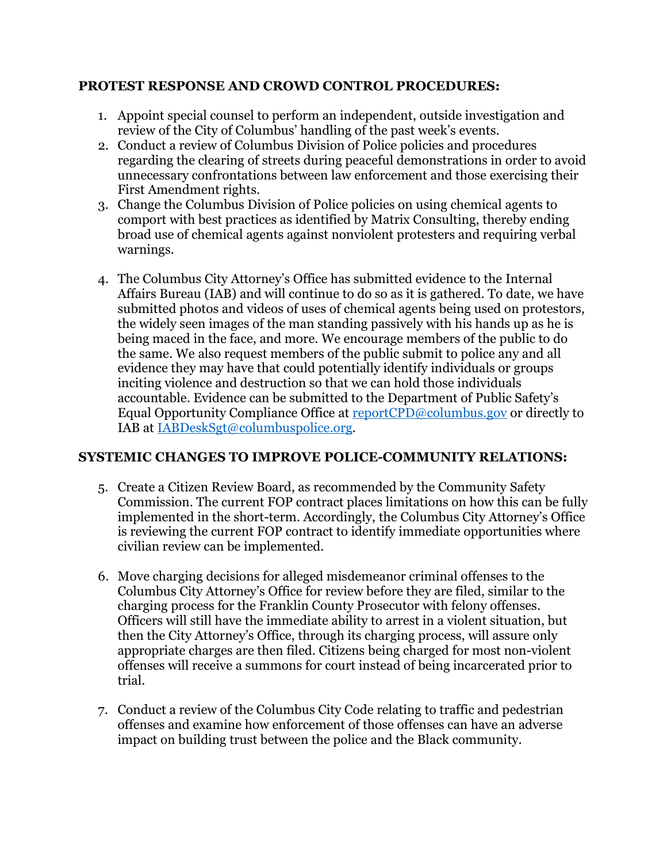## PROTEST RESPONSE AND CROWD CONTROL PROCEDURES:

- 1. Appoint special counsel to perform an independent, outside investigation and review of the City of Columbus' handling of the past week's events.
- 2. Conduct a review of Columbus Division of Police policies and procedures regarding the clearing of streets during peaceful demonstrations in order to avoid unnecessary confrontations between law enforcement and those exercising their First Amendment rights.
- 3. Change the Columbus Division of Police policies on using chemical agents to comport with best practices as identified by Matrix Consulting, thereby ending broad use of chemical agents against nonviolent protesters and requiring verbal warnings.
- 4. The Columbus City Attorney's Office has submitted evidence to the Internal Affairs Bureau (IAB) and will continue to do so as it is gathered. To date, we have submitted photos and videos of uses of chemical agents being used on protestors, the widely seen images of the man standing passively with his hands up as he is being maced in the face, and more. We encourage members of the public to do the same. We also request members of the public submit to police any and all evidence they may have that could potentially identify individuals or groups inciting violence and destruction so that we can hold those individuals accountable. Evidence can be submitted to the Department of Public Safety's Equal Opportunity Compliance Office at reportCPD@columbus.gov or directly to IAB at IABDeskSgt@columbuspolice.org.

## SYSTEMIC CHANGES TO IMPROVE POLICE-COMMUNITY RELATIONS:

- 5. Create a Citizen Review Board, as recommended by the Community Safety Commission. The current FOP contract places limitations on how this can be fully implemented in the short-term. Accordingly, the Columbus City Attorney's Office is reviewing the current FOP contract to identify immediate opportunities where civilian review can be implemented.
- 6. Move charging decisions for alleged misdemeanor criminal offenses to the Columbus City Attorney's Office for review before they are filed, similar to the charging process for the Franklin County Prosecutor with felony offenses. Officers will still have the immediate ability to arrest in a violent situation, but then the City Attorney's Office, through its charging process, will assure only appropriate charges are then filed. Citizens being charged for most non-violent offenses will receive a summons for court instead of being incarcerated prior to trial.
- 7. Conduct a review of the Columbus City Code relating to traffic and pedestrian offenses and examine how enforcement of those offenses can have an adverse impact on building trust between the police and the Black community.